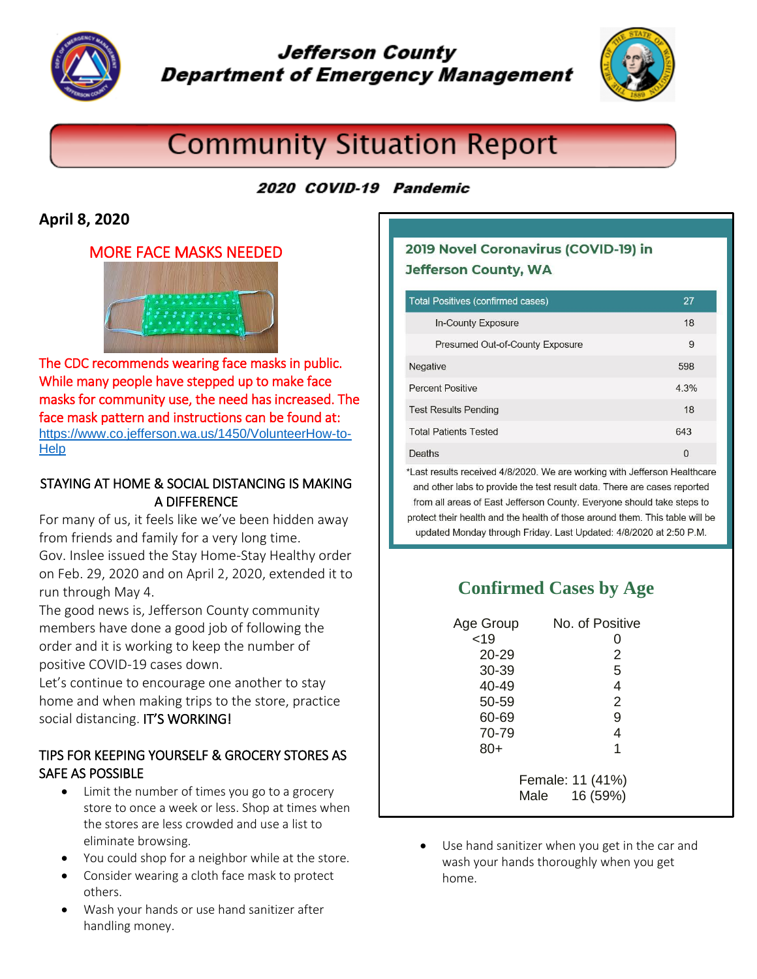

# **Jefferson County Department of Emergency Management**



# **Community Situation Report**

### 2020 COVID-19 Pandemic

### **April 8, 2020**

#### MORE FACE MASKS NEEDED



The CDC recommends wearing face masks in public. While many people have stepped up to make face masks for community use, the need has increased. The face mask pattern and instructions can be found at: [https://www.co.jefferson.wa.us/1450/VolunteerHow-to-](https://www.co.jefferson.wa.us/1450/VolunteerHow-to-Help)**[Help](https://www.co.jefferson.wa.us/1450/VolunteerHow-to-Help)** 

#### STAYING AT HOME & SOCIAL DISTANCING IS MAKING A DIFFERENCE

For many of us, it feels like we've been hidden away from friends and family for a very long time. Gov. Inslee issued the Stay Home-Stay Healthy order on Feb. 29, 2020 and on April 2, 2020, extended it to run through May 4.

The good news is, Jefferson County community members have done a good job of following the order and it is working to keep the number of positive COVID-19 cases down.

Let's continue to encourage one another to stay home and when making trips to the store, practice social distancing. IT'S WORKING!

#### TIPS FOR KEEPING YOURSELF & GROCERY STORES AS SAFE AS POSSIBLE

- Limit the number of times you go to a grocery store to once a week or less. Shop at times when the stores are less crowded and use a list to eliminate browsing.
- You could shop for a neighbor while at the store.
- Consider wearing a cloth face mask to protect others.
- Wash your hands or use hand sanitizer after handling money.

### 2019 Novel Coronavirus (COVID-19) in **Jefferson County, WA**

| <b>Total Positives (confirmed cases)</b> | 27   |
|------------------------------------------|------|
| In-County Exposure                       | 18   |
| Presumed Out-of-County Exposure          | 9    |
| <b>Negative</b>                          | 598  |
| <b>Percent Positive</b>                  | 4.3% |
| <b>Test Results Pending</b>              | 18   |
| <b>Total Patients Tested</b>             | 643  |
| Deaths                                   | 0    |

\*Last results received 4/8/2020. We are working with Jefferson Healthcare and other labs to provide the test result data. There are cases reported from all areas of East Jefferson County. Everyone should take steps to protect their health and the health of those around them. This table will be updated Monday through Friday. Last Updated: 4/8/2020 at 2:50 P.M.

# **Confirmed Cases by Age**

| Age Group        | No. of Positive  |
|------------------|------------------|
| < 19             |                  |
| 20-29            | 2                |
| 30-39            | 5                |
| 40-49            | 4                |
| 50-59            | $\overline{2}$   |
| 60-69            | 9                |
| 70-79            | 4                |
| $80+$            | 1                |
| Female: 11 (41%) |                  |
|                  | 16 (59%)<br>Male |

 Use hand sanitizer when you get in the car and wash your hands thoroughly when you get home.